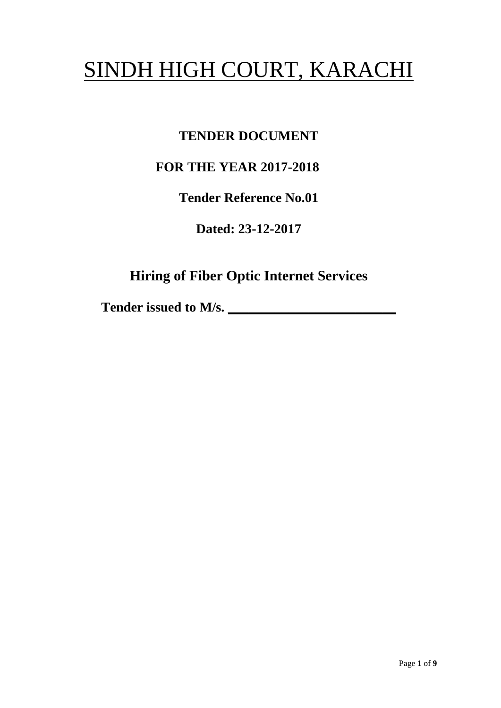# SINDH HIGH COURT, KARACHI

# **TENDER DOCUMENT**

## **FOR THE YEAR 2017-2018**

**Tender Reference No.01**

**Dated: 23-12-2017**

**Hiring of Fiber Optic Internet Services**

Tender issued to M/s.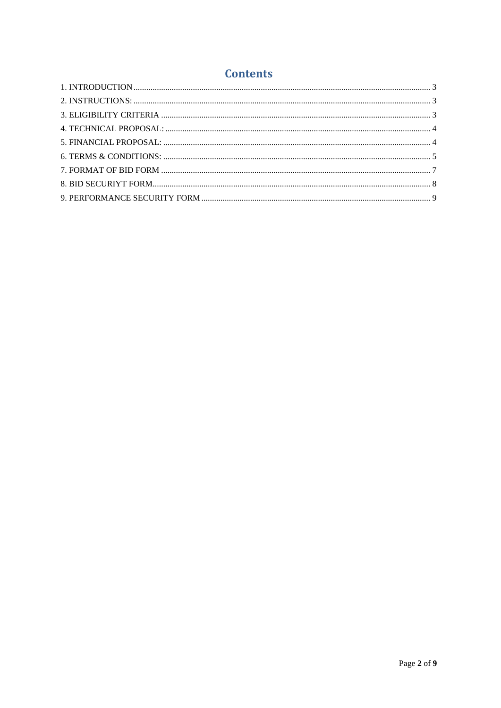## **Contents**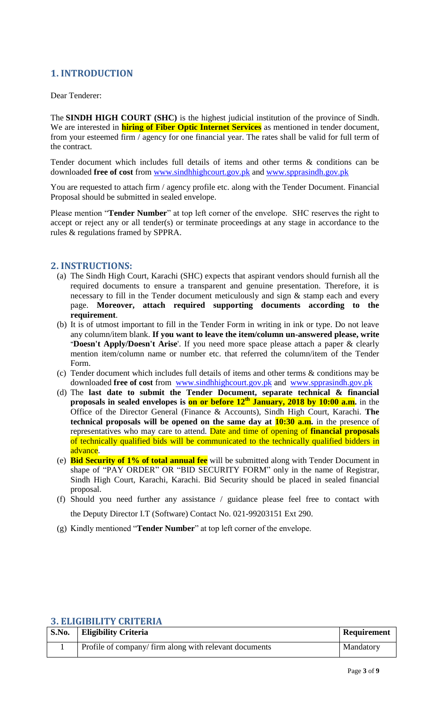### <span id="page-2-0"></span>**1. INTRODUCTION**

Dear Tenderer:

<span id="page-2-1"></span>The **SINDH HIGH COURT (SHC)** is the highest judicial institution of the province of [Sindh.](https://en.wikipedia.org/wiki/Sindh) We are interested in **hiring of Fiber Optic Internet Services** as mentioned in tender document, from your esteemed firm / agency for one financial year. The rates shall be valid for full term of the contract.

Tender document which includes full details of items and other terms & conditions can be downloaded **free of cost** from [www.sindhhighcourt.gov.pk](http://www.sindhhighcourt.gov.pk/) and [www.spprasindh.gov.pk](http://www.spprasindh.gov.pk/)

You are requested to attach firm / agency profile etc. along with the Tender Document. Financial Proposal should be submitted in sealed envelope.

Please mention "**Tender Number**" at top left corner of the envelope. SHC reserves the right to accept or reject any or all tender(s) or terminate proceedings at any stage in accordance to the rules & regulations framed by SPPRA.

#### **2. INSTRUCTIONS:**

- (a) The Sindh High Court, Karachi (SHC) expects that aspirant vendors should furnish all the required documents to ensure a transparent and genuine presentation. Therefore, it is necessary to fill in the Tender document meticulously and sign & stamp each and every page. **Moreover, attach required supporting documents according to the requirement**.
- (b) It is of utmost important to fill in the Tender Form in writing in ink or type. Do not leave any column/item blank. **If you want to leave the item/column un-answered please, write "Doesn't Apply/Doesn't Arise**'. If you need more space please attach a paper & clearly mention item/column name or number etc. that referred the column/item of the Tender Form.
- (c) Tender document which includes full details of items and other terms & conditions may be downloaded free of cost from [www.sindhhighcourt.gov.pk](http://www.sindhhighcourt.gov.pk/) and [www.spprasindh.gov.pk](http://www.spprasindh.gov.pk/)
- (d) The **last date to submit the Tender Document, separate technical & financial proposals in sealed envelopes is on or before 12 th January, 2018 by 10:00 a.m.** in the Office of the Director General (Finance & Accounts), Sindh High Court, Karachi. **The technical proposals will be opened on the same day at 10:30 a.m.** in the presence of representatives who may care to attend. Date and time of opening of **financial proposals** of technically qualified bids will be communicated to the technically qualified bidders in advance.
- (e) **Bid Security of 1% of total annual fee** will be submitted along with Tender Document in shape of "PAY ORDER" OR "BID SECURITY FORM" only in the name of Registrar, Sindh High Court, Karachi, Karachi. Bid Security should be placed in sealed financial proposal.
- <span id="page-2-2"></span>(f) Should you need further any assistance / guidance please feel free to contact with the Deputy Director I.T (Software) Contact No. 021-99203151 Ext 290.
- (g) Kindly mentioned "**Tender Number**" at top left corner of the envelope.

| <u>Ui belivile lei la vini i bindi </u> |                                                       |             |  |  |  |  |
|-----------------------------------------|-------------------------------------------------------|-------------|--|--|--|--|
| <b>S.No.</b>                            | <b>Eligibility Criteria</b>                           | Requirement |  |  |  |  |
|                                         | Profile of company/firm along with relevant documents | Mandatory   |  |  |  |  |

## **3. ELIGIBILITY CRITERIA**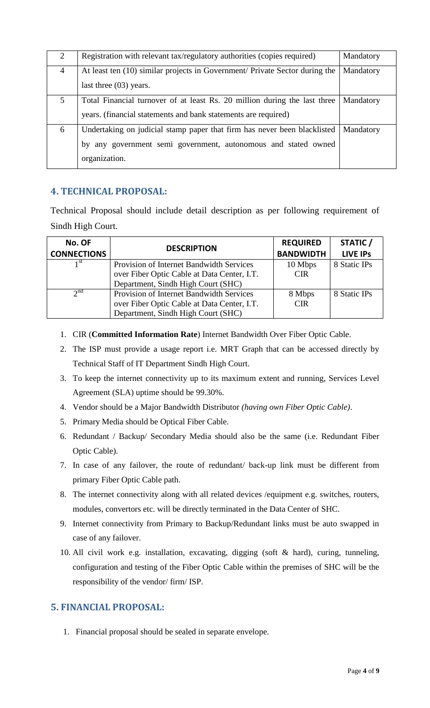<span id="page-3-0"></span>

| 2 | Registration with relevant tax/regulatory authorities (copies required)                  | Mandatory |  |  |
|---|------------------------------------------------------------------------------------------|-----------|--|--|
| 4 | At least ten (10) similar projects in Government/ Private Sector during the<br>Mandatory |           |  |  |
|   | last three $(03)$ years.                                                                 |           |  |  |
| 5 | Total Financial turnover of at least Rs. 20 million during the last three<br>Mandatory   |           |  |  |
|   | years. (financial statements and bank statements are required)                           |           |  |  |
| 6 | Undertaking on judicial stamp paper that firm has never been blacklisted                 | Mandatory |  |  |
|   | by any government semi government, autonomous and stated owned                           |           |  |  |
|   | organization.                                                                            |           |  |  |

### **4. TECHNICAL PROPOSAL:**

Technical Proposal should include detail description as per following requirement of Sindh High Court.

| No. OF<br><b>CONNECTIONS</b> | <b>DESCRIPTION</b>                              | <b>REQUIRED</b><br><b>BANDWIDTH</b> | STATIC/<br><b>LIVE IPS</b> |
|------------------------------|-------------------------------------------------|-------------------------------------|----------------------------|
| 1 SU                         | <b>Provision of Internet Bandwidth Services</b> | 10 Mbps                             | 8 Static IPs               |
|                              | over Fiber Optic Cable at Data Center, I.T.     | <b>CIR</b>                          |                            |
|                              | Department, Sindh High Court (SHC)              |                                     |                            |
| $2^{nd}$                     | Provision of Internet Bandwidth Services        | 8 Mbps                              | 8 Static IPs               |
|                              | over Fiber Optic Cable at Data Center, I.T.     | <b>CIR</b>                          |                            |
|                              | Department, Sindh High Court (SHC)              |                                     |                            |

- 1. CIR (**Committed Information Rate**) Internet Bandwidth Over Fiber Optic Cable.
- 2. The ISP must provide a usage report i.e. MRT Graph that can be accessed directly by Technical Staff of IT Department Sindh High Court.
- 3. To keep the internet connectivity up to its maximum extent and running, Services Level Agreement (SLA) uptime should be 99.30%.
- 4. Vendor should be a Major Bandwidth Distributor *(having own Fiber Optic Cable)*.
- 5. Primary Media should be Optical Fiber Cable.
- 6. Redundant / Backup/ Secondary Media should also be the same (i.e. Redundant Fiber Optic Cable).
- 7. In case of any failover, the route of redundant/ back-up link must be different from primary Fiber Optic Cable path.
- <span id="page-3-1"></span>8. The internet connectivity along with all related devices /equipment e.g. switches, routers, modules, convertors etc. will be directly terminated in the Data Center of SHC.
- 9. Internet connectivity from Primary to Backup/Redundant links must be auto swapped in case of any failover.
- 10. All civil work e.g. installation, excavating, digging (soft & hard), curing, tunneling, configuration and testing of the Fiber Optic Cable within the premises of SHC will be the responsibility of the vendor/ firm/ ISP.

### **5. FINANCIAL PROPOSAL:**

1. Financial proposal should be sealed in separate envelope.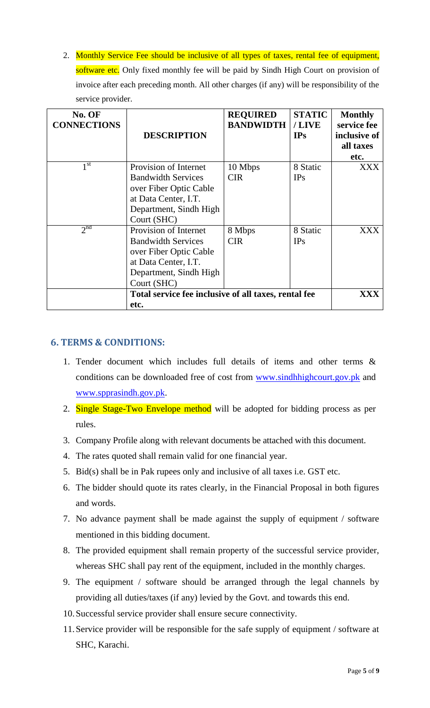2. Monthly Service Fee should be inclusive of all types of taxes, rental fee of equipment, software etc. Only fixed monthly fee will be paid by Sindh High Court on provision of invoice after each preceding month. All other charges (if any) will be responsibility of the service provider.

<span id="page-4-0"></span>

| No. OF<br><b>CONNECTIONS</b> |                                                      | <b>REQUIRED</b><br><b>BANDWIDTH</b> | <b>STATIC</b><br>/ LIVE | <b>Monthly</b><br>service fee |
|------------------------------|------------------------------------------------------|-------------------------------------|-------------------------|-------------------------------|
|                              | <b>DESCRIPTION</b>                                   |                                     | IPs                     | inclusive of<br>all taxes     |
|                              |                                                      |                                     |                         | etc.                          |
| 1 <sub>st</sub>              | Provision of Internet                                | 10 Mbps                             | 8 Static                | XXX                           |
|                              | <b>Bandwidth Services</b>                            | <b>CIR</b>                          | IPs                     |                               |
|                              | over Fiber Optic Cable                               |                                     |                         |                               |
|                              | at Data Center, I.T.                                 |                                     |                         |                               |
|                              | Department, Sindh High                               |                                     |                         |                               |
|                              | Court (SHC)                                          |                                     |                         |                               |
| 2 <sup>nd</sup>              | Provision of Internet                                | 8 Mbps                              | 8 Static                | XXX.                          |
|                              | <b>Bandwidth Services</b>                            | <b>CIR</b>                          | IPs                     |                               |
|                              | over Fiber Optic Cable                               |                                     |                         |                               |
|                              | at Data Center, I.T.                                 |                                     |                         |                               |
|                              | Department, Sindh High                               |                                     |                         |                               |
|                              | Court (SHC)                                          |                                     |                         |                               |
|                              | Total service fee inclusive of all taxes, rental fee | XXX                                 |                         |                               |
|                              | etc.                                                 |                                     |                         |                               |

#### **6. TERMS & CONDITIONS:**

- 1. Tender document which includes full details of items and other terms & conditions can be downloaded free of cost from [www.sindhhighcourt.gov.pk](http://www.sindhhighcourt.gov.pk/) and [www.spprasindh.gov.pk.](http://www.spprasindh.gov.pk/)
- 2. Single Stage-Two Envelope method will be adopted for bidding process as per rules.
- 3. Company Profile along with relevant documents be attached with this document.
- 4. The rates quoted shall remain valid for one financial year.
- 5. Bid(s) shall be in Pak rupees only and inclusive of all taxes i.e. GST etc.
- 6. The bidder should quote its rates clearly, in the Financial Proposal in both figures and words.
- 7. No advance payment shall be made against the supply of equipment / software mentioned in this bidding document.
- 8. The provided equipment shall remain property of the successful service provider, whereas SHC shall pay rent of the equipment, included in the monthly charges.
- 9. The equipment / software should be arranged through the legal channels by providing all duties/taxes (if any) levied by the Govt. and towards this end.
- 10.Successful service provider shall ensure secure connectivity.
- 11.Service provider will be responsible for the safe supply of equipment / software at SHC, Karachi.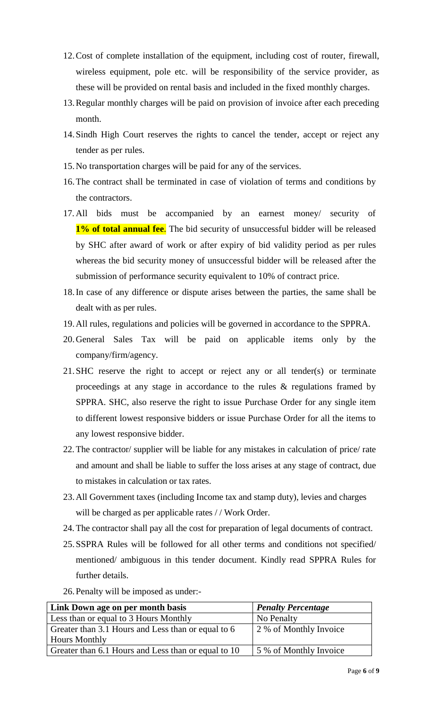- 12.Cost of complete installation of the equipment, including cost of router, firewall, wireless equipment, pole etc. will be responsibility of the service provider, as these will be provided on rental basis and included in the fixed monthly charges.
- 13.Regular monthly charges will be paid on provision of invoice after each preceding month.
- 14.Sindh High Court reserves the rights to cancel the tender, accept or reject any tender as per rules.
- 15.No transportation charges will be paid for any of the services.
- 16.The contract shall be terminated in case of violation of terms and conditions by the contractors.
- 17. All bids must be accompanied by an earnest money/ security of **1% of total annual fee**. The bid security of unsuccessful bidder will be released by SHC after award of work or after expiry of bid validity period as per rules whereas the bid security money of unsuccessful bidder will be released after the submission of performance security equivalent to 10% of contract price.
- 18.In case of any difference or dispute arises between the parties, the same shall be dealt with as per rules.
- 19.All rules, regulations and policies will be governed in accordance to the SPPRA.
- 20.General Sales Tax will be paid on applicable items only by the company/firm/agency.
- 21.SHC reserve the right to accept or reject any or all tender(s) or terminate proceedings at any stage in accordance to the rules & regulations framed by SPPRA. SHC, also reserve the right to issue Purchase Order for any single item to different lowest responsive bidders or issue Purchase Order for all the items to any lowest responsive bidder.
- 22. The contractor/ supplier will be liable for any mistakes in calculation of price/ rate and amount and shall be liable to suffer the loss arises at any stage of contract, due to mistakes in calculation or tax rates.
- 23.All Government taxes (including Income tax and stamp duty), levies and charges will be charged as per applicable rates // Work Order.
- 24. The contractor shall pay all the cost for preparation of legal documents of contract.
- 25.SSPRA Rules will be followed for all other terms and conditions not specified/ mentioned/ ambiguous in this tender document. Kindly read SPPRA Rules for further details.
- 26.Penalty will be imposed as under:-

| Link Down age on per month basis                    | <b>Penalty Percentage</b> |
|-----------------------------------------------------|---------------------------|
| <b>Less than or equal to 3 Hours Monthly</b>        | No Penalty                |
| Greater than 3.1 Hours and Less than or equal to 6  | 2 % of Monthly Invoice    |
| <b>Hours Monthly</b>                                |                           |
| Greater than 6.1 Hours and Less than or equal to 10 | 5 % of Monthly Invoice    |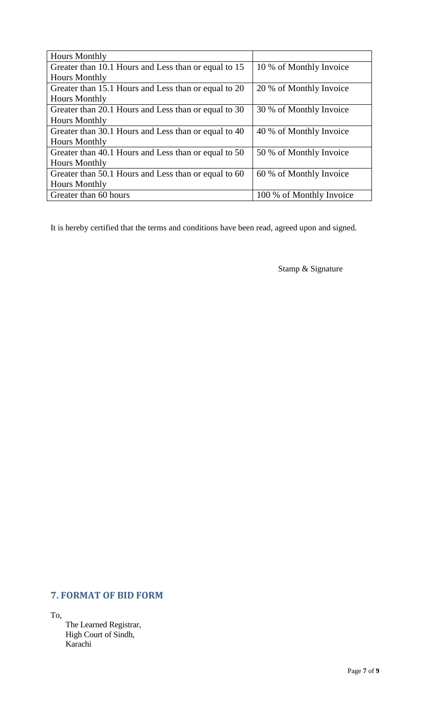| <b>Hours Monthly</b>                                 |                          |
|------------------------------------------------------|--------------------------|
| Greater than 10.1 Hours and Less than or equal to 15 | 10 % of Monthly Invoice  |
| <b>Hours Monthly</b>                                 |                          |
| Greater than 15.1 Hours and Less than or equal to 20 | 20 % of Monthly Invoice  |
| <b>Hours Monthly</b>                                 |                          |
| Greater than 20.1 Hours and Less than or equal to 30 | 30 % of Monthly Invoice  |
| <b>Hours Monthly</b>                                 |                          |
| Greater than 30.1 Hours and Less than or equal to 40 | 40 % of Monthly Invoice  |
| <b>Hours Monthly</b>                                 |                          |
| Greater than 40.1 Hours and Less than or equal to 50 | 50 % of Monthly Invoice  |
| <b>Hours Monthly</b>                                 |                          |
| Greater than 50.1 Hours and Less than or equal to 60 | 60 % of Monthly Invoice  |
| <b>Hours Monthly</b>                                 |                          |
| Greater than 60 hours                                | 100 % of Monthly Invoice |

It is hereby certified that the terms and conditions have been read, agreed upon and signed.

Stamp & Signature

# <span id="page-6-0"></span>**7. FORMAT OF BID FORM**

To,

The Learned Registrar, High Court of Sindh, Karachi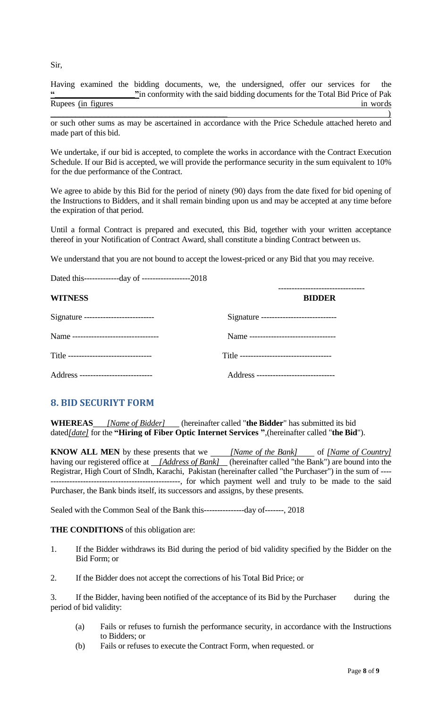Sir,

|                     |  |  | Having examined the bidding documents, we, the undersigned, offer our services for the |  |  |          |
|---------------------|--|--|----------------------------------------------------------------------------------------|--|--|----------|
|                     |  |  | "in conformity with the said bidding documents for the Total Bid Price of Pak          |  |  |          |
| Rupees (in figures) |  |  |                                                                                        |  |  | in words |
|                     |  |  |                                                                                        |  |  |          |

or such other sums as may be ascertained in accordance with the Price Schedule attached hereto and made part of this bid.

We undertake, if our bid is accepted, to complete the works in accordance with the Contract Execution Schedule. If our Bid is accepted, we will provide the performance security in the sum equivalent to 10% for the due performance of the Contract.

We agree to abide by this Bid for the period of ninety (90) days from the date fixed for bid opening of the Instructions to Bidders, and it shall remain binding upon us and may be accepted at any time before the expiration of that period.

Until a formal Contract is prepared and executed, this Bid, together with your written acceptance thereof in your Notification of Contract Award, shall constitute a binding Contract between us.

<span id="page-7-0"></span>We understand that you are not bound to accept the lowest-priced or any Bid that you may receive.

Dated this-------------day of ------------------2018

| <b>WITNESS</b>                         | <b>BIDDER</b>                            |
|----------------------------------------|------------------------------------------|
| Signature --------------------------   | Signature ------------------------------ |
| Name --------------------------------- | Name --------------------------------    |
| Title -------------------------------- |                                          |
| Address ---------------------------    | Address -----------------------------    |

### **8. BID SECURIYT FORM**

**WHEREAS** *[Name of Bidder]* (hereinafter called "**the Bidder**" has submitted its bid dated*[date]* for the **"Hiring of Fiber Optic Internet Services "**,(hereinafter called "**the Bid**").

**KNOW ALL MEN** by these presents that we *[Name of the Bank]* of *[Name of Country]* having our registered office at *[Address of Bank]* (hereinafter called "the Bank") are bound into the Registrar, High Court of SIndh, Karachi, Pakistan (hereinafter called "the Purchaser") in the sum of ---- ------------------------------------------------, for which payment well and truly to be made to the said Purchaser, the Bank binds itself, its successors and assigns, by these presents.

Sealed with the Common Seal of the Bank this---------------day of-------, 2018

#### **THE CONDITIONS** of this obligation are:

- 1. If the Bidder withdraws its Bid during the period of bid validity specified by the Bidder on the Bid Form; or
- 2. If the Bidder does not accept the corrections of his Total Bid Price; or

3. If the Bidder, having been notified of the acceptance of its Bid by the Purchaser during the period of bid validity:

- (a) Fails or refuses to furnish the performance security, in accordance with the Instructions to Bidders; or
- (b) Fails or refuses to execute the Contract Form, when requested. or